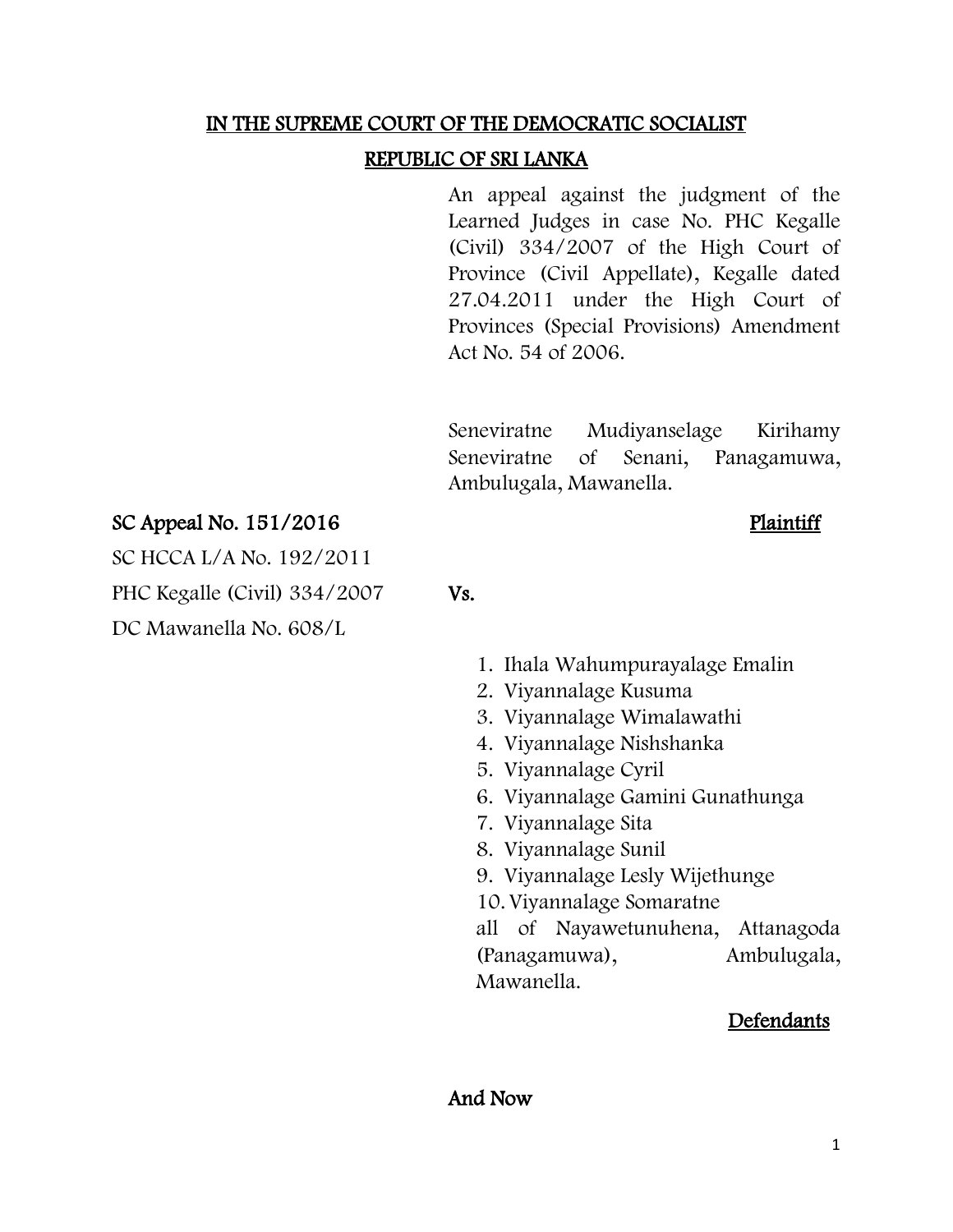#### IN THE SUPREME COURT OF THE DEMOCRATIC SOCIALIST

## REPUBLIC OF SRI LANKA

An appeal against the judgment of the Learned Judges in case No. PHC Kegalle (Civil) 334/2007 of the High Court of Province (Civil Appellate), Kegalle dated 27.04.2011 under the High Court of Provinces (Special Provisions) Amendment Act No. 54 of 2006.

Seneviratne Mudiyanselage Kirihamy Seneviratne of Senani, Panagamuwa, Ambulugala, Mawanella.

# $SC$  Appeal No.  $151/2016$  Plaintiff

SC HCCA L/A No. 192/2011

PHC Kegalle (Civil) 334/2007 Vs.

DC Mawanella No. 608/L

- 1. Ihala Wahumpurayalage Emalin
- 2. Viyannalage Kusuma
- 3. Viyannalage Wimalawathi
- 4. Viyannalage Nishshanka
- 5. Viyannalage Cyril
- 6. Viyannalage Gamini Gunathunga
- 7. Viyannalage Sita
- 8. Viyannalage Sunil
- 9. Viyannalage Lesly Wijethunge
- 10.Viyannalage Somaratne

all of Nayawetunuhena, Attanagoda (Panagamuwa), Ambulugala, Mawanella.

## **Defendants**

## And Now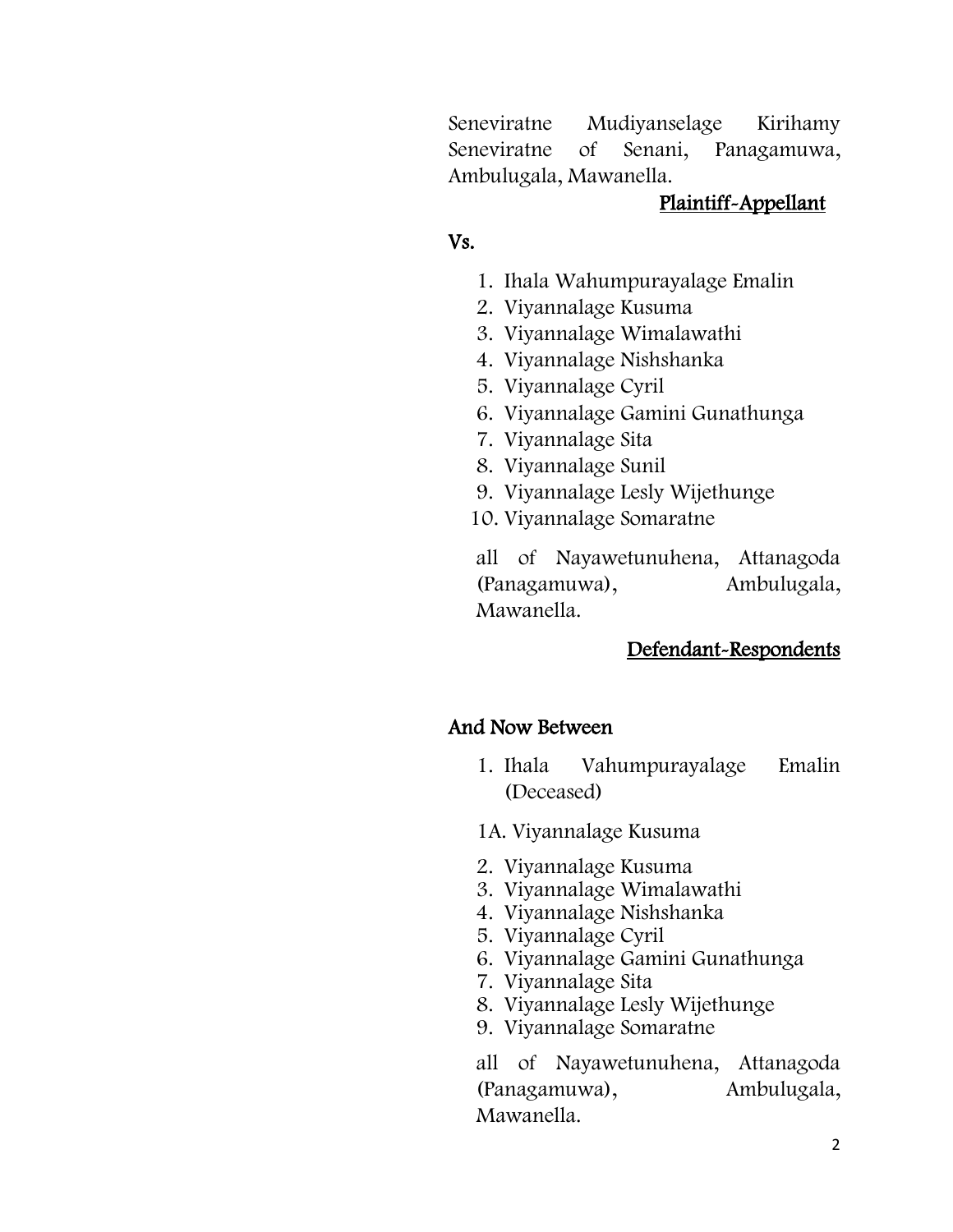Seneviratne Mudiyanselage Kirihamy Seneviratne of Senani, Panagamuwa, Ambulugala, Mawanella.

## Plaintiff-Appellant

# Vs.

- 1. Ihala Wahumpurayalage Emalin
- 2. Viyannalage Kusuma
- 3. Viyannalage Wimalawathi
- 4. Viyannalage Nishshanka
- 5. Viyannalage Cyril
- 6. Viyannalage Gamini Gunathunga
- 7. Viyannalage Sita
- 8. Viyannalage Sunil
- 9. Viyannalage Lesly Wijethunge
- 10. Viyannalage Somaratne

all of Nayawetunuhena, Attanagoda (Panagamuwa), Ambulugala, Mawanella.

# Defendant-Respondents

# And Now Between

- 1. Ihala Vahumpurayalage Emalin (Deceased)
- 1A. Viyannalage Kusuma
- 2. Viyannalage Kusuma
- 3. Viyannalage Wimalawathi
- 4. Viyannalage Nishshanka
- 5. Viyannalage Cyril
- 6. Viyannalage Gamini Gunathunga
- 7. Viyannalage Sita
- 8. Viyannalage Lesly Wijethunge
- 9. Viyannalage Somaratne

all of Nayawetunuhena, Attanagoda (Panagamuwa), Ambulugala, Mawanella.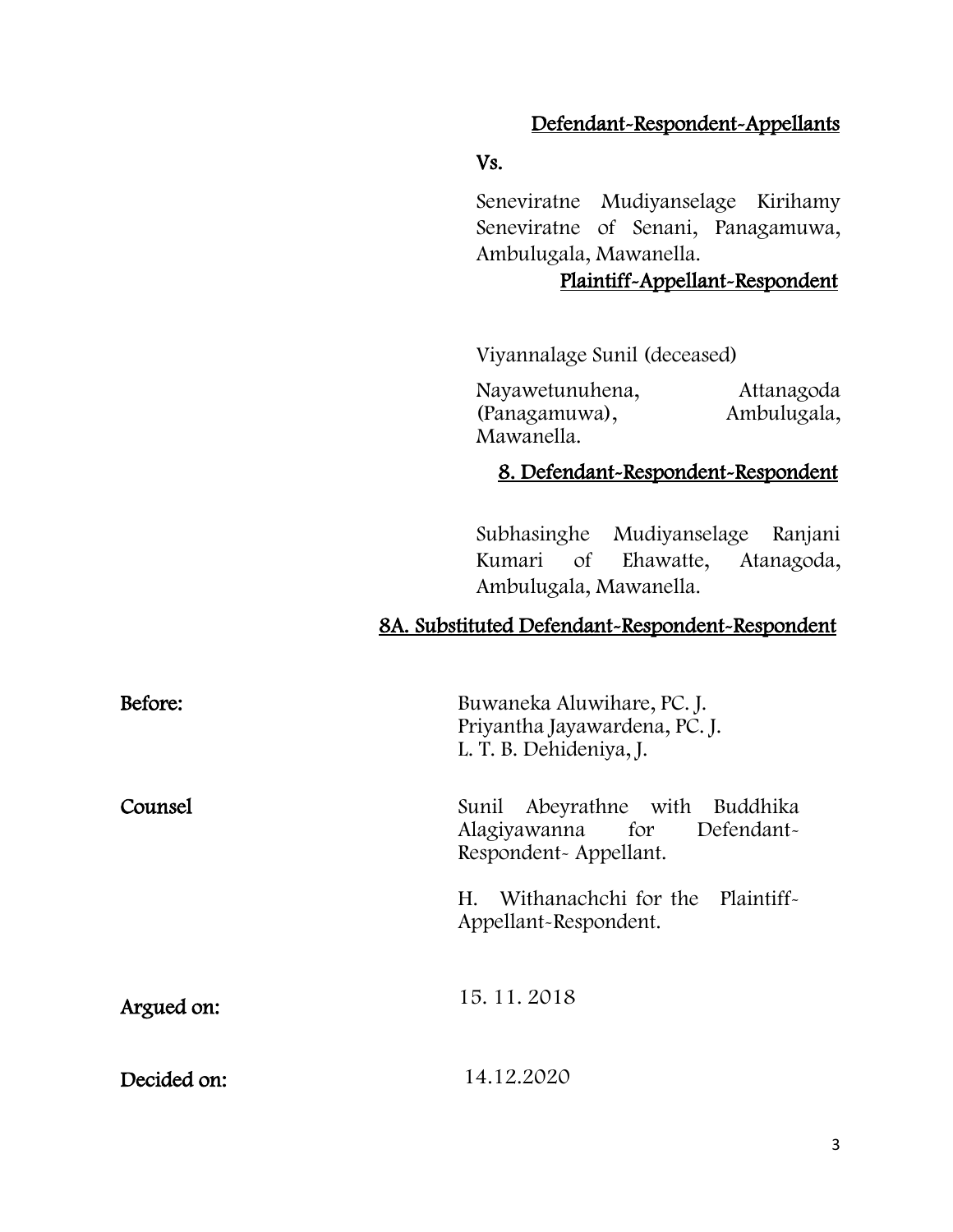# Defendant-Respondent-Appellants

#### Vs.

Seneviratne Mudiyanselage Kirihamy Seneviratne of Senani, Panagamuwa, Ambulugala, Mawanella.

# Plaintiff-Appellant-Respondent

Viyannalage Sunil (deceased)

Nayawetunuhena, Attanagoda<br>(Panagamuwa), Ambulugala, (Panagamuwa), Mawanella.

## 8. Defendant-Respondent-Respondent

Subhasinghe Mudiyanselage Ranjani Kumari of Ehawatte, Atanagoda, Ambulugala, Mawanella.

## 8A. Substituted Defendant-Respondent-Respondent

| Before:     | Buwaneka Aluwihare, PC. J.<br>Priyantha Jayawardena, PC. J.<br>L. T. B. Dehideniya, J. |
|-------------|----------------------------------------------------------------------------------------|
| Counsel     | Sunil Abeyrathne with Buddhika<br>Alagiyawanna for Defendant-<br>Respondent-Appellant. |
|             | Withanachchi for the Plaintiff-<br>H.<br>Appellant-Respondent.                         |
| Argued on:  | 15.11.2018                                                                             |
| Decided on: | 14.12.2020                                                                             |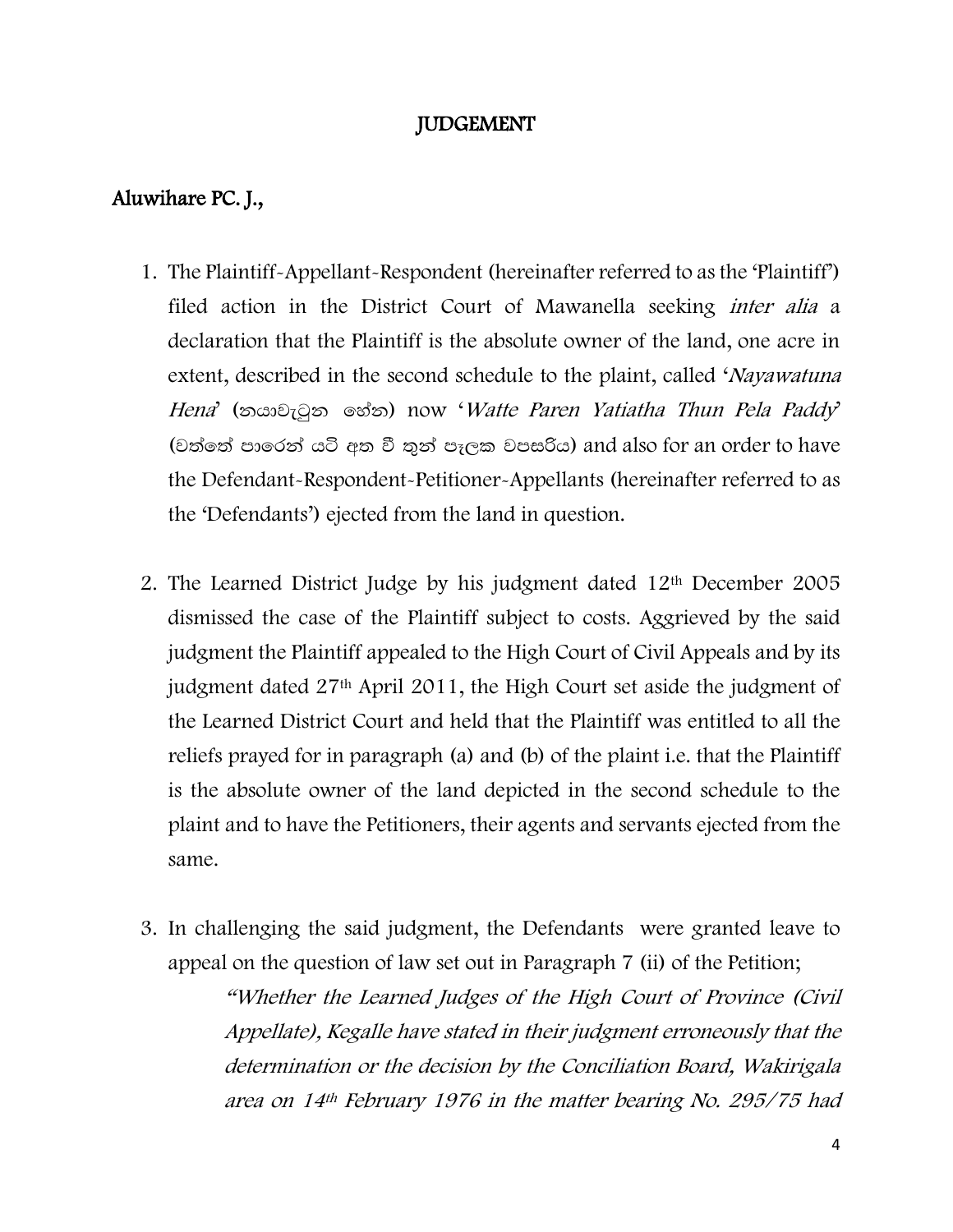## JUDGEMENT

## Aluwihare PC. J.,

- 1. The Plaintiff-Appellant-Respondent (hereinafter referred to as the 'Plaintiff') filed action in the District Court of Mawanella seeking inter alia a declaration that the Plaintiff is the absolute owner of the land, one acre in extent, described in the second schedule to the plaint, called 'Nayawatuna' Hena' (තයාවැටුන හේත) now 'Watte Paren Yatiatha Thun Pela Paddy' (වත්තේ පාරෙන් යටි අත වී තුන් පෑලක වපසරිය) and also for an order to have the Defendant-Respondent-Petitioner-Appellants (hereinafter referred to as the 'Defendants') ejected from the land in question.
- 2. The Learned District Judge by his judgment dated 12th December 2005 dismissed the case of the Plaintiff subject to costs. Aggrieved by the said judgment the Plaintiff appealed to the High Court of Civil Appeals and by its judgment dated 27th April 2011, the High Court set aside the judgment of the Learned District Court and held that the Plaintiff was entitled to all the reliefs prayed for in paragraph (a) and (b) of the plaint i.e. that the Plaintiff is the absolute owner of the land depicted in the second schedule to the plaint and to have the Petitioners, their agents and servants ejected from the same.
- 3. In challenging the said judgment, the Defendants were granted leave to appeal on the question of law set out in Paragraph 7 (ii) of the Petition;

"Whether the Learned Judges of the High Court of Province (Civil Appellate), Kegalle have stated in their judgment erroneously that the determination or the decision by the Conciliation Board, Wakirigala area on 14th February 1976 in the matter bearing No. 295/75 had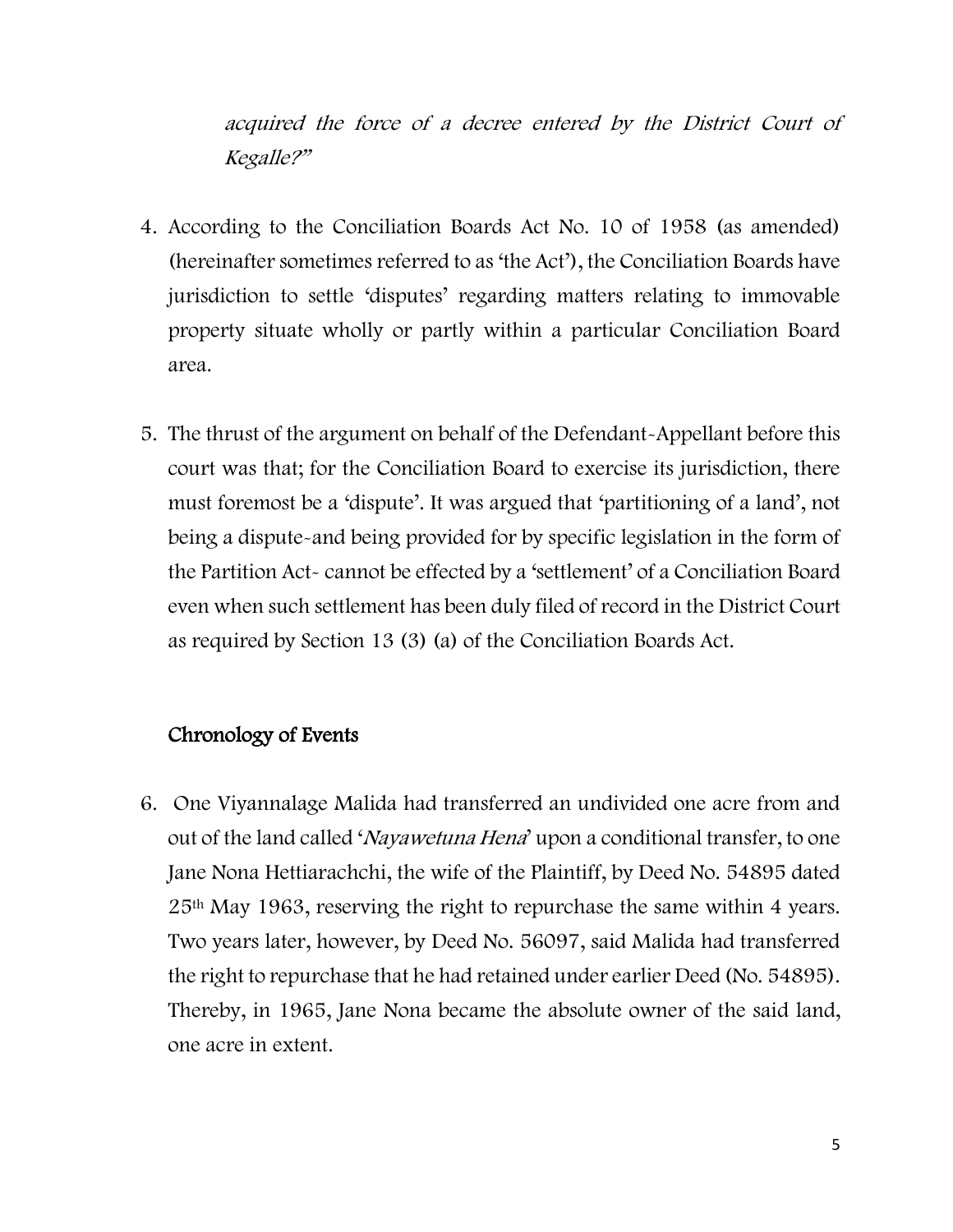acquired the force of a decree entered by the District Court of Kegalle?"

- 4. According to the Conciliation Boards Act No. 10 of 1958 (as amended) (hereinafter sometimes referred to as 'the Act'), the Conciliation Boards have jurisdiction to settle 'disputes' regarding matters relating to immovable property situate wholly or partly within a particular Conciliation Board area.
- 5. The thrust of the argument on behalf of the Defendant-Appellant before this court was that; for the Conciliation Board to exercise its jurisdiction, there must foremost be a 'dispute'. It was argued that 'partitioning of a land', not being a dispute-and being provided for by specific legislation in the form of the Partition Act- cannot be effected by a 'settlement' of a Conciliation Board even when such settlement has been duly filed of record in the District Court as required by Section 13 (3) (a) of the Conciliation Boards Act.

## Chronology of Events

6. One Viyannalage Malida had transferred an undivided one acre from and out of the land called 'Nayawetuna Hena' upon a conditional transfer, to one Jane Nona Hettiarachchi, the wife of the Plaintiff, by Deed No. 54895 dated 25th May 1963, reserving the right to repurchase the same within 4 years. Two years later, however, by Deed No. 56097, said Malida had transferred the right to repurchase that he had retained under earlier Deed (No. 54895). Thereby, in 1965, Jane Nona became the absolute owner of the said land, one acre in extent.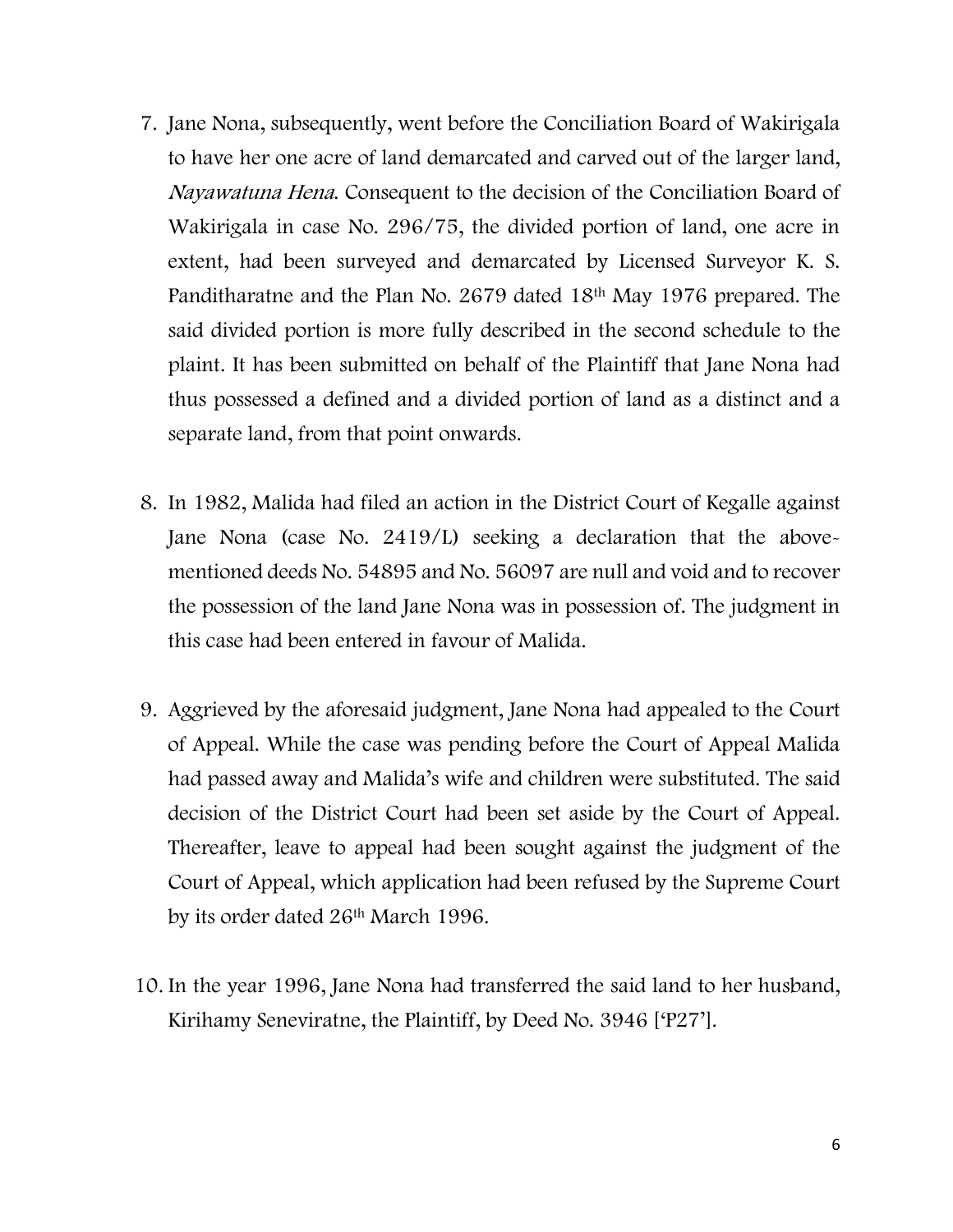- 7. Jane Nona, subsequently, went before the Conciliation Board of Wakirigala to have her one acre of land demarcated and carved out of the larger land, Nayawatuna Hena. Consequent to the decision of the Conciliation Board of Wakirigala in case No. 296/75, the divided portion of land, one acre in extent, had been surveyed and demarcated by Licensed Surveyor K. S. Panditharatne and the Plan No. 2679 dated 18th May 1976 prepared. The said divided portion is more fully described in the second schedule to the plaint. It has been submitted on behalf of the Plaintiff that Jane Nona had thus possessed a defined and a divided portion of land as a distinct and a separate land, from that point onwards.
- 8. In 1982, Malida had filed an action in the District Court of Kegalle against Jane Nona (case No. 2419/L) seeking a declaration that the abovementioned deeds No. 54895 and No. 56097 are null and void and to recover the possession of the land Jane Nona was in possession of. The judgment in this case had been entered in favour of Malida.
- 9. Aggrieved by the aforesaid judgment, Jane Nona had appealed to the Court of Appeal. While the case was pending before the Court of Appeal Malida had passed away and Malida's wife and children were substituted. The said decision of the District Court had been set aside by the Court of Appeal. Thereafter, leave to appeal had been sought against the judgment of the Court of Appeal, which application had been refused by the Supreme Court by its order dated 26th March 1996.
- 10. In the year 1996, Jane Nona had transferred the said land to her husband, Kirihamy Seneviratne, the Plaintiff, by Deed No. 3946 ['P27'].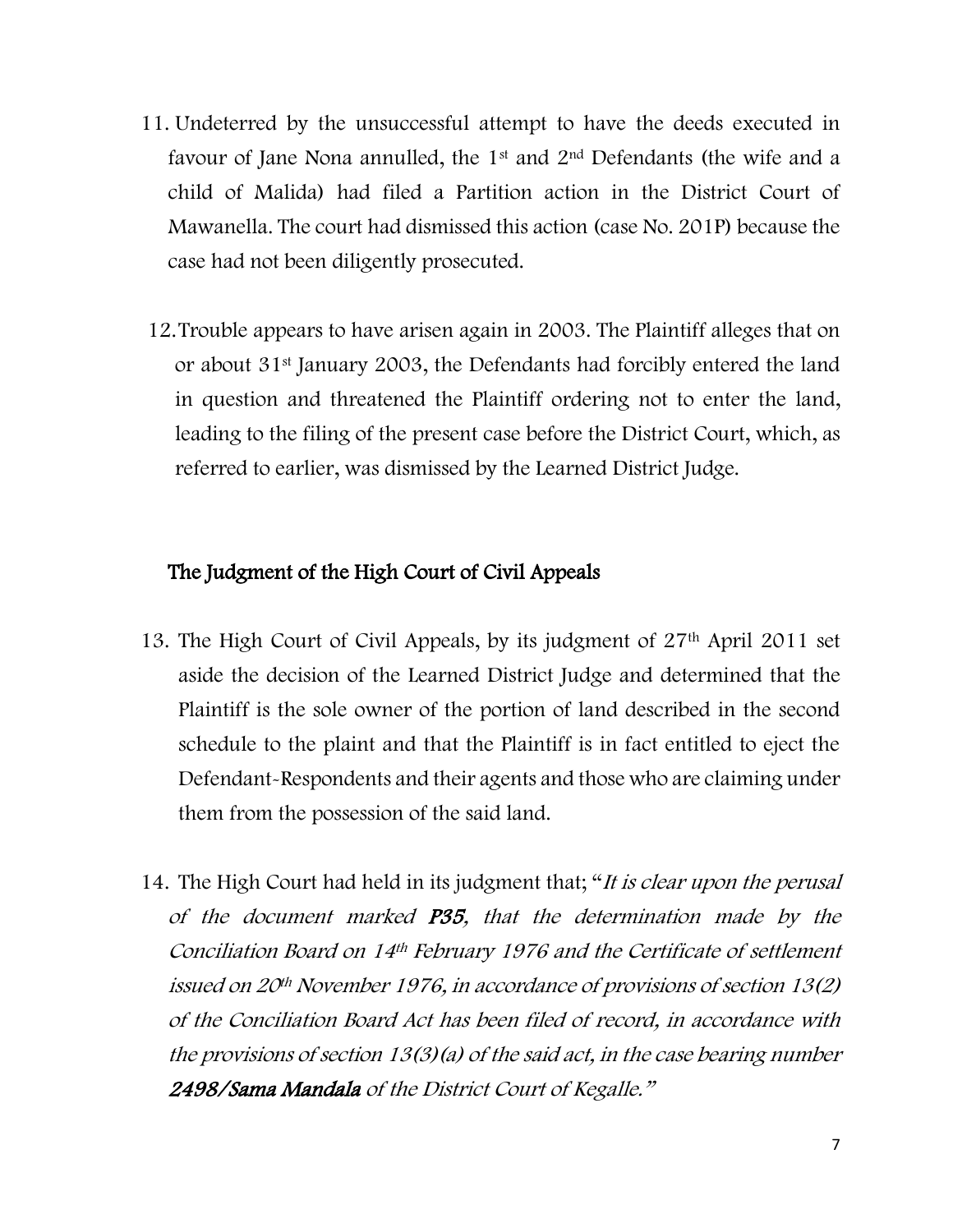- 11. Undeterred by the unsuccessful attempt to have the deeds executed in favour of Jane Nona annulled, the 1st and 2nd Defendants (the wife and a child of Malida) had filed a Partition action in the District Court of Mawanella. The court had dismissed this action (case No. 201P) because the case had not been diligently prosecuted.
- 12.Trouble appears to have arisen again in 2003. The Plaintiff alleges that on or about 31st January 2003, the Defendants had forcibly entered the land in question and threatened the Plaintiff ordering not to enter the land, leading to the filing of the present case before the District Court, which, as referred to earlier, was dismissed by the Learned District Judge.

# The Judgment of the High Court of Civil Appeals

- 13. The High Court of Civil Appeals, by its judgment of 27th April 2011 set aside the decision of the Learned District Judge and determined that the Plaintiff is the sole owner of the portion of land described in the second schedule to the plaint and that the Plaintiff is in fact entitled to eject the Defendant-Respondents and their agents and those who are claiming under them from the possession of the said land.
- 14. The High Court had held in its judgment that; "It is clear upon the perusal of the document marked P35, that the determination made by the Conciliation Board on 14th February 1976 and the Certificate of settlement issued on 20th November 1976, in accordance of provisions of section 13(2) of the Conciliation Board Act has been filed of record, in accordance with the provisions of section 13(3)(a) of the said act, in the case bearing number 2498/Sama Mandala of the District Court of Kegalle."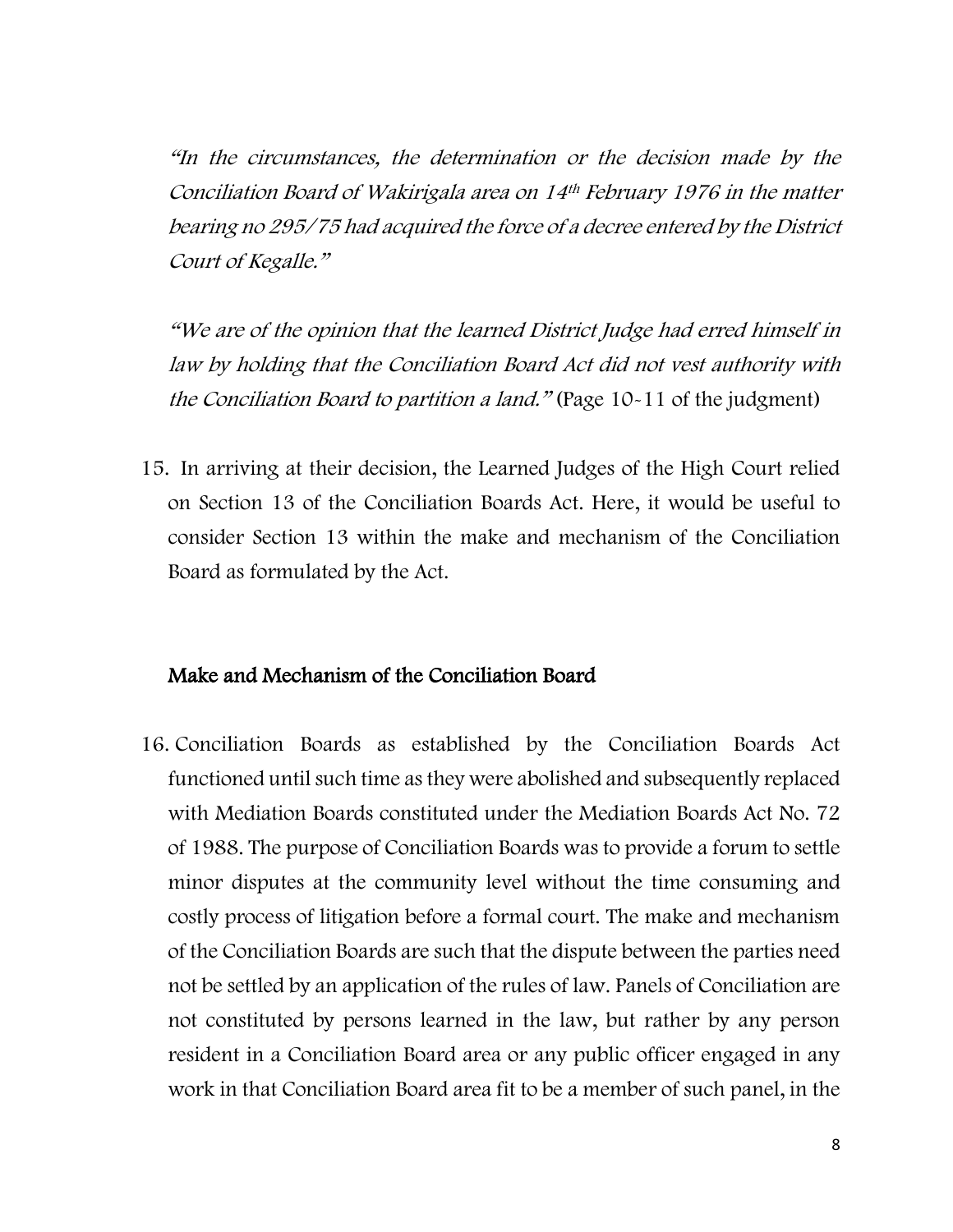"In the circumstances, the determination or the decision made by the Conciliation Board of Wakirigala area on 14th February 1976 in the matter bearing no 295/75 had acquired the force of a decree entered by the District Court of Kegalle."

"We are of the opinion that the learned District Judge had erred himself in law by holding that the Conciliation Board Act did not vest authority with the Conciliation Board to partition a land." (Page 10-11 of the judgment)

15. In arriving at their decision, the Learned Judges of the High Court relied on Section 13 of the Conciliation Boards Act. Here, it would be useful to consider Section 13 within the make and mechanism of the Conciliation Board as formulated by the Act.

#### Make and Mechanism of the Conciliation Board

16. Conciliation Boards as established by the Conciliation Boards Act functioned until such time as they were abolished and subsequently replaced with Mediation Boards constituted under the Mediation Boards Act No. 72 of 1988. The purpose of Conciliation Boards was to provide a forum to settle minor disputes at the community level without the time consuming and costly process of litigation before a formal court. The make and mechanism of the Conciliation Boards are such that the dispute between the parties need not be settled by an application of the rules of law. Panels of Conciliation are not constituted by persons learned in the law, but rather by any person resident in a Conciliation Board area or any public officer engaged in any work in that Conciliation Board area fit to be a member of such panel, in the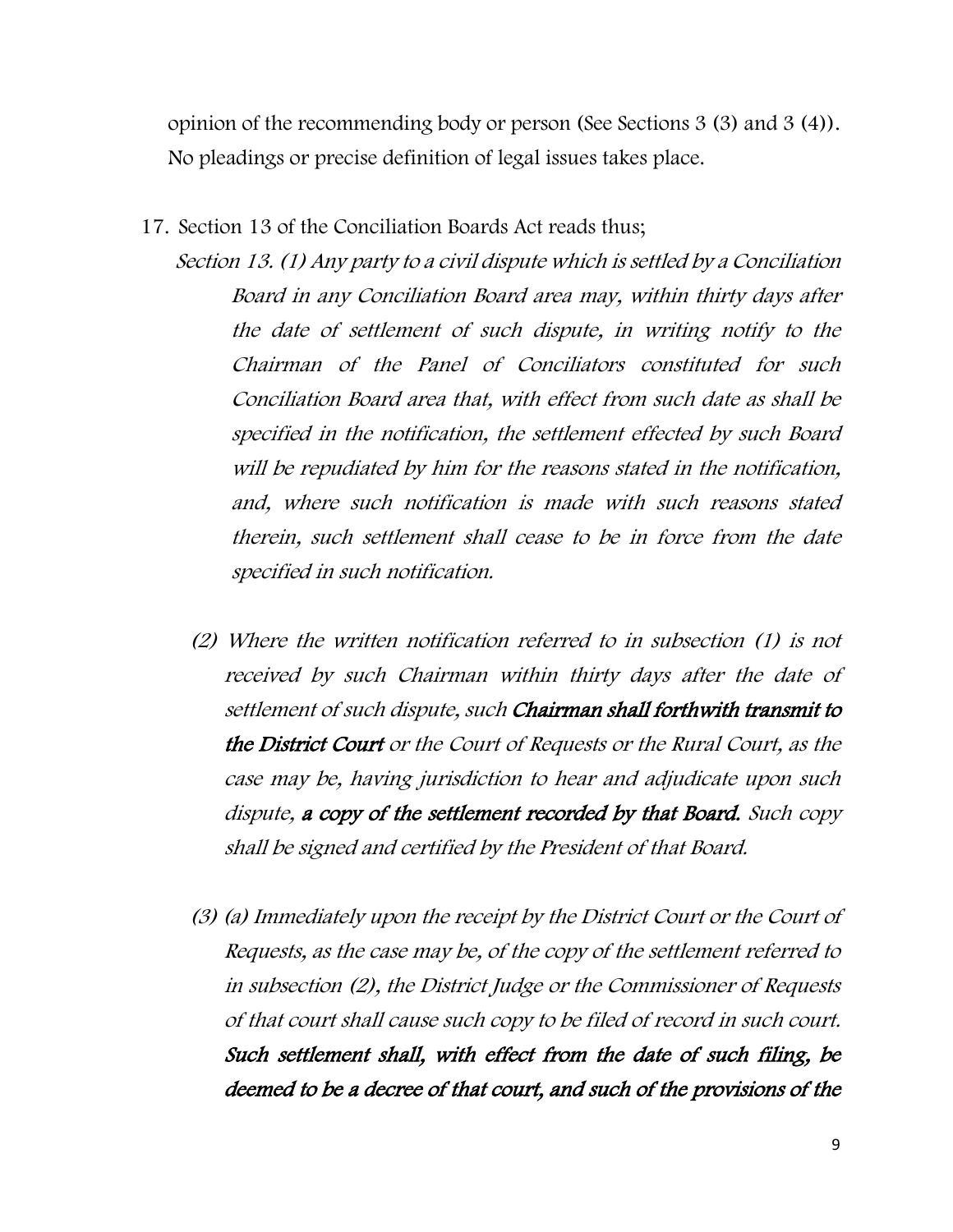opinion of the recommending body or person (See Sections 3 (3) and 3 (4)). No pleadings or precise definition of legal issues takes place.

#### 17. Section 13 of the Conciliation Boards Act reads thus;

- Section 13. (1) Any party to a civil dispute which is settled by a Conciliation Board in any Conciliation Board area may, within thirty days after the date of settlement of such dispute, in writing notify to the Chairman of the Panel of Conciliators constituted for such Conciliation Board area that, with effect from such date as shall be specified in the notification, the settlement effected by such Board will be repudiated by him for the reasons stated in the notification, and, where such notification is made with such reasons stated therein, such settlement shall cease to be in force from the date specified in such notification.
	- (2) Where the written notification referred to in subsection (1) is not received by such Chairman within thirty days after the date of settlement of such dispute, such Chairman shall forthwith transmit to the District Court or the Court of Requests or the Rural Court, as the case may be, having jurisdiction to hear and adjudicate upon such dispute, a copy of the settlement recorded by that Board. Such copy shall be signed and certified by the President of that Board.
	- (3) (a) Immediately upon the receipt by the District Court or the Court of Requests, as the case may be, of the copy of the settlement referred to in subsection (2), the District Judge or the Commissioner of Requests of that court shall cause such copy to be filed of record in such court. Such settlement shall, with effect from the date of such filing, be deemed to be a decree of that court, and such of the provisions of the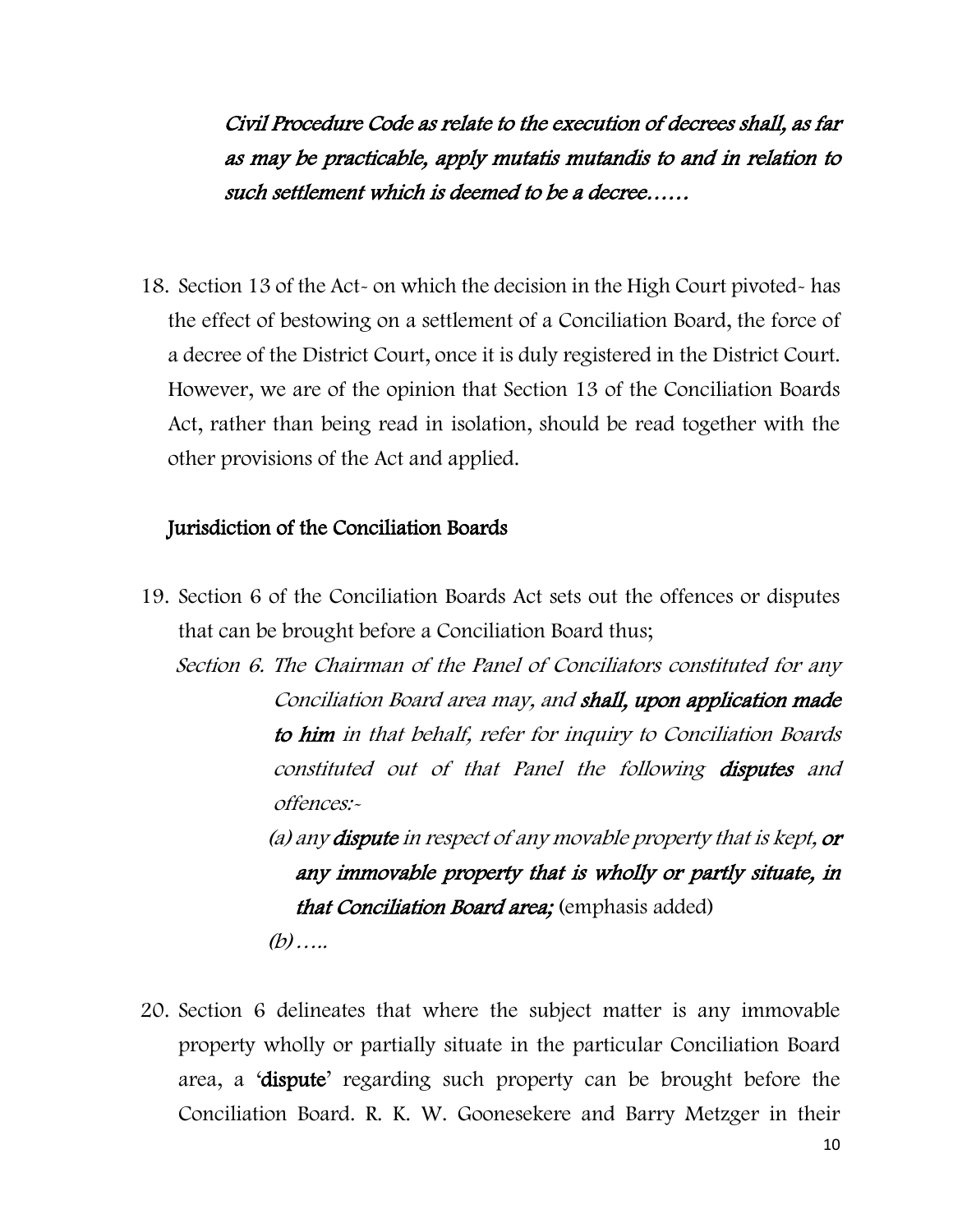Civil Procedure Code as relate to the execution of decrees shall, as far as may be practicable, apply mutatis mutandis to and in relation to such settlement which is deemed to be a decree……

18. Section 13 of the Act- on which the decision in the High Court pivoted- has the effect of bestowing on a settlement of a Conciliation Board, the force of a decree of the District Court, once it is duly registered in the District Court. However, we are of the opinion that Section 13 of the Conciliation Boards Act, rather than being read in isolation, should be read together with the other provisions of the Act and applied.

## Jurisdiction of the Conciliation Boards

19. Section 6 of the Conciliation Boards Act sets out the offences or disputes that can be brought before a Conciliation Board thus;

Section 6. The Chairman of the Panel of Conciliators constituted for any Conciliation Board area may, and shall, upon application made to him in that behalf, refer for inquiry to Conciliation Boards constituted out of that Panel the following disputes and offences:-

> (a) any dispute in respect of any movable property that is kept, or any immovable property that is wholly or partly situate, in that Conciliation Board area; (emphasis added)  $(b)$ ……

20. Section 6 delineates that where the subject matter is any immovable property wholly or partially situate in the particular Conciliation Board area, a 'dispute' regarding such property can be brought before the Conciliation Board. R. K. W. Goonesekere and Barry Metzger in their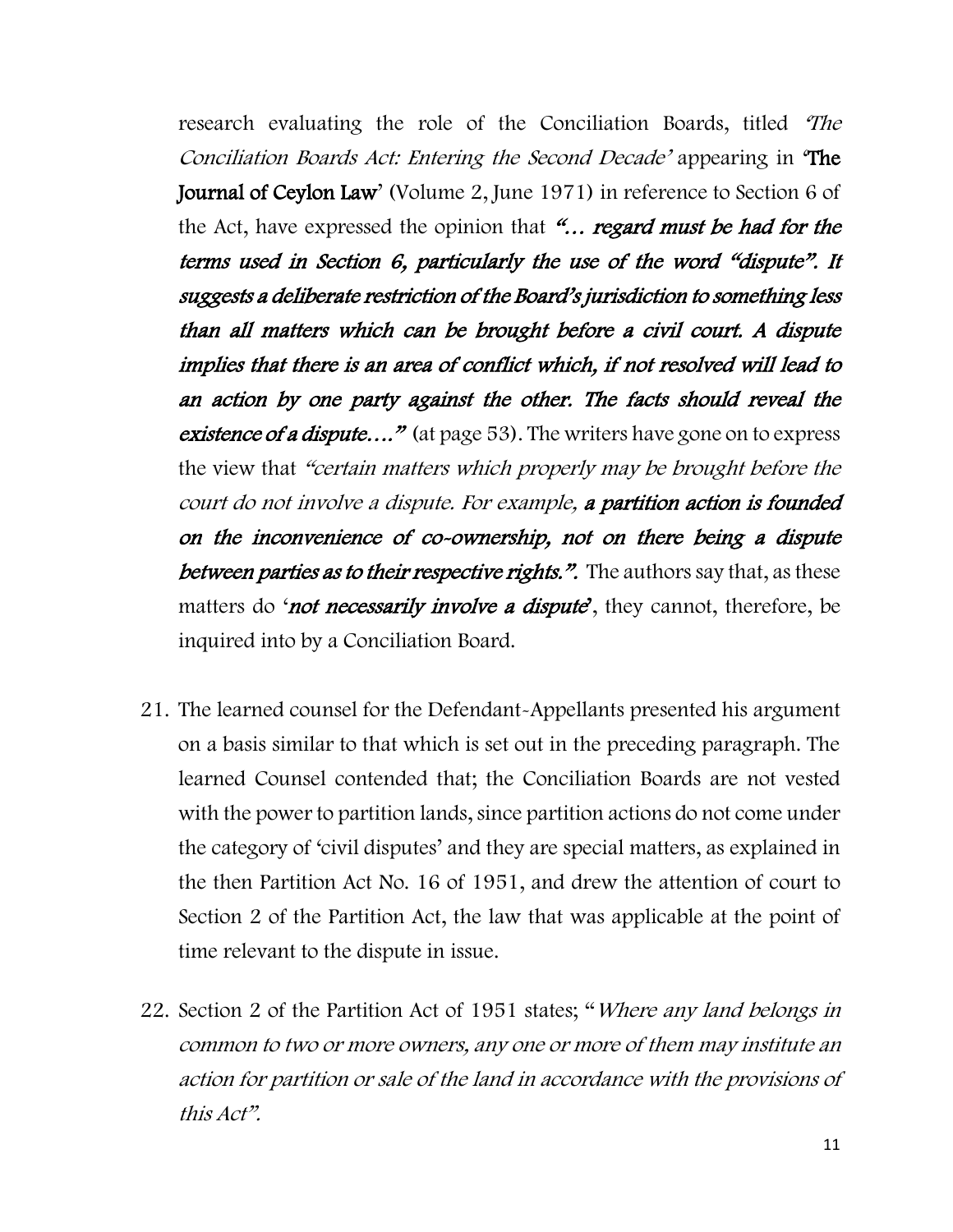research evaluating the role of the Conciliation Boards, titled 'The Conciliation Boards Act: Entering the Second Decade' appearing in 'The Journal of Ceylon Law' (Volume 2, June 1971) in reference to Section 6 of the Act, have expressed the opinion that "... regard must be had for the terms used in Section 6, particularly the use of the word "dispute". It suggests a deliberate restriction of the Board's jurisdiction to something less than all matters which can be brought before a civil court. A dispute implies that there is an area of conflict which, if not resolved will lead to an action by one party against the other. The facts should reveal the existence of a dispute...." (at page 53). The writers have gone on to express the view that "certain matters which properly may be brought before the court do not involve a dispute. For example, a partition action is founded on the inconvenience of co-ownership, not on there being a dispute between parties as to their respective rights.". The authors say that, as these matters do 'not necessarily involve a dispute', they cannot, therefore, be inquired into by a Conciliation Board.

- 21. The learned counsel for the Defendant-Appellants presented his argument on a basis similar to that which is set out in the preceding paragraph. The learned Counsel contended that; the Conciliation Boards are not vested with the power to partition lands, since partition actions do not come under the category of 'civil disputes' and they are special matters, as explained in the then Partition Act No. 16 of 1951, and drew the attention of court to Section 2 of the Partition Act, the law that was applicable at the point of time relevant to the dispute in issue.
- 22. Section 2 of the Partition Act of 1951 states; "Where any land belongs in common to two or more owners, any one or more of them may institute an action for partition or sale of the land in accordance with the provisions of this Act".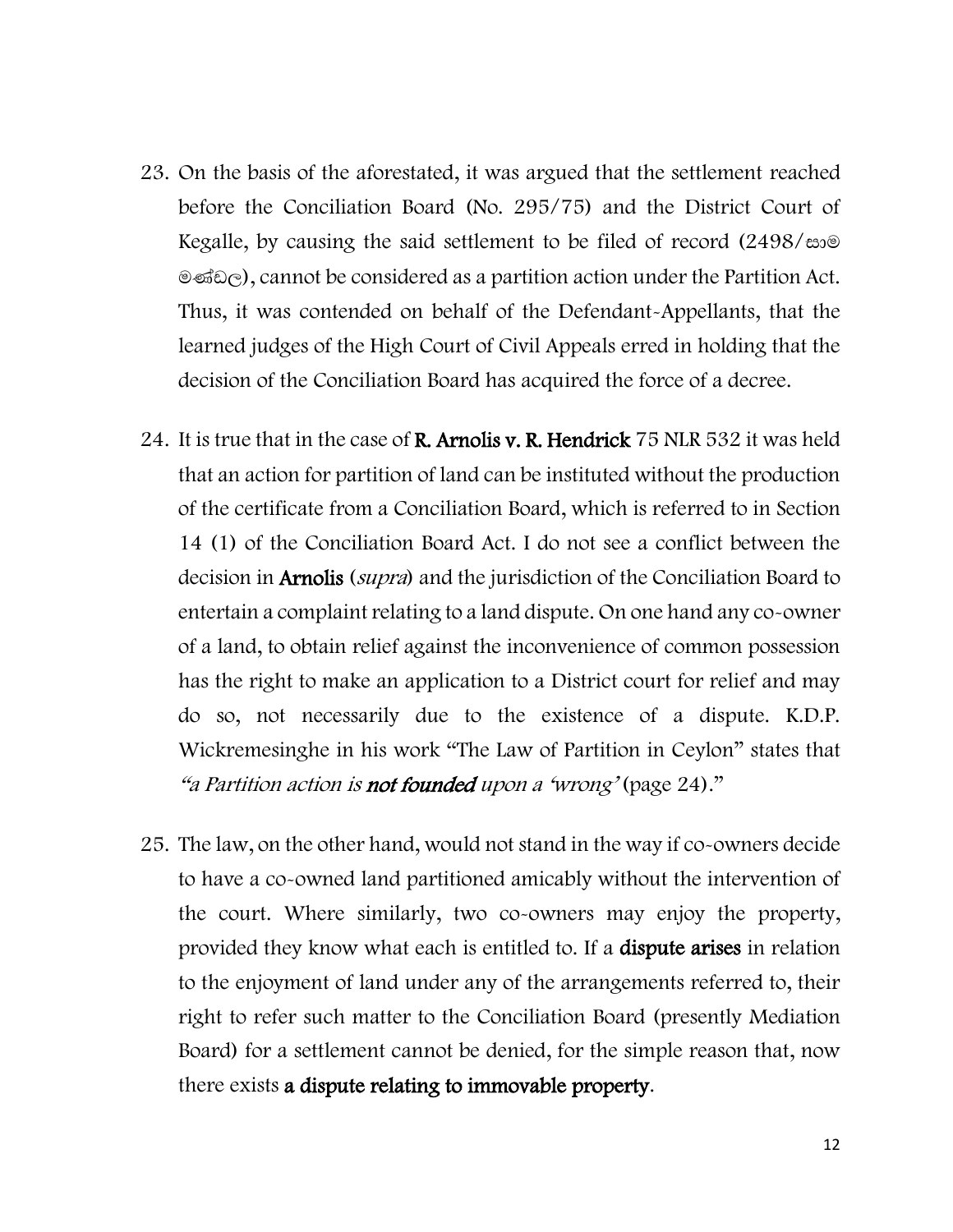- 23. On the basis of the aforestated, it was argued that the settlement reached before the Conciliation Board (No. 295/75) and the District Court of Kegalle, by causing the said settlement to be filed of record  $(2498/\text{eV})$  $\mathcal{A}$   $\mathcal{A}$   $\mathcal{A}$  cannot be considered as a partition action under the Partition Act. Thus, it was contended on behalf of the Defendant-Appellants, that the learned judges of the High Court of Civil Appeals erred in holding that the decision of the Conciliation Board has acquired the force of a decree.
- 24. It is true that in the case of **R. Arnolis v. R. Hendrick** 75 NLR 532 it was held that an action for partition of land can be instituted without the production of the certificate from a Conciliation Board, which is referred to in Section 14 (1) of the Conciliation Board Act. I do not see a conflict between the decision in **Arnolis** (*supra*) and the jurisdiction of the Conciliation Board to entertain a complaint relating to a land dispute. On one hand any co-owner of a land, to obtain relief against the inconvenience of common possession has the right to make an application to a District court for relief and may do so, not necessarily due to the existence of a dispute. K.D.P. Wickremesinghe in his work "The Law of Partition in Ceylon" states that "a Partition action is not founded upon a 'wrong' (page 24)."
- 25. The law, on the other hand, would not stand in the way if co-owners decide to have a co-owned land partitioned amicably without the intervention of the court. Where similarly, two co-owners may enjoy the property, provided they know what each is entitled to. If a dispute arises in relation to the enjoyment of land under any of the arrangements referred to, their right to refer such matter to the Conciliation Board (presently Mediation Board) for a settlement cannot be denied, for the simple reason that, now there exists a dispute relating to immovable property.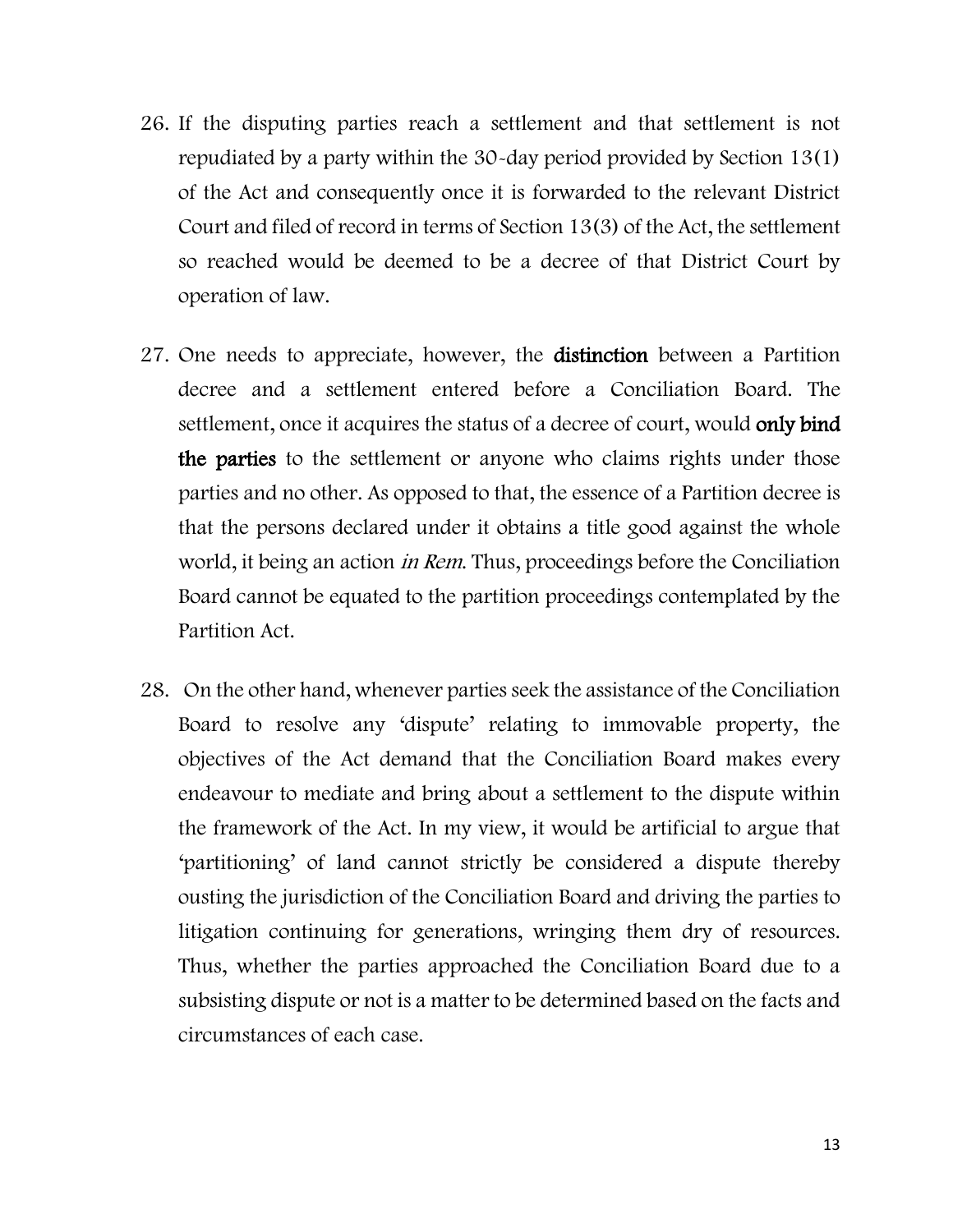- 26. If the disputing parties reach a settlement and that settlement is not repudiated by a party within the 30-day period provided by Section 13(1) of the Act and consequently once it is forwarded to the relevant District Court and filed of record in terms of Section 13(3) of the Act, the settlement so reached would be deemed to be a decree of that District Court by operation of law.
- 27. One needs to appreciate, however, the distinction between a Partition decree and a settlement entered before a Conciliation Board. The settlement, once it acquires the status of a decree of court, would only bind the parties to the settlement or anyone who claims rights under those parties and no other. As opposed to that, the essence of a Partition decree is that the persons declared under it obtains a title good against the whole world, it being an action *in Rem*. Thus, proceedings before the Conciliation Board cannot be equated to the partition proceedings contemplated by the Partition Act.
- 28. On the other hand, whenever parties seek the assistance of the Conciliation Board to resolve any 'dispute' relating to immovable property, the objectives of the Act demand that the Conciliation Board makes every endeavour to mediate and bring about a settlement to the dispute within the framework of the Act. In my view, it would be artificial to argue that 'partitioning' of land cannot strictly be considered a dispute thereby ousting the jurisdiction of the Conciliation Board and driving the parties to litigation continuing for generations, wringing them dry of resources. Thus, whether the parties approached the Conciliation Board due to a subsisting dispute or not is a matter to be determined based on the facts and circumstances of each case.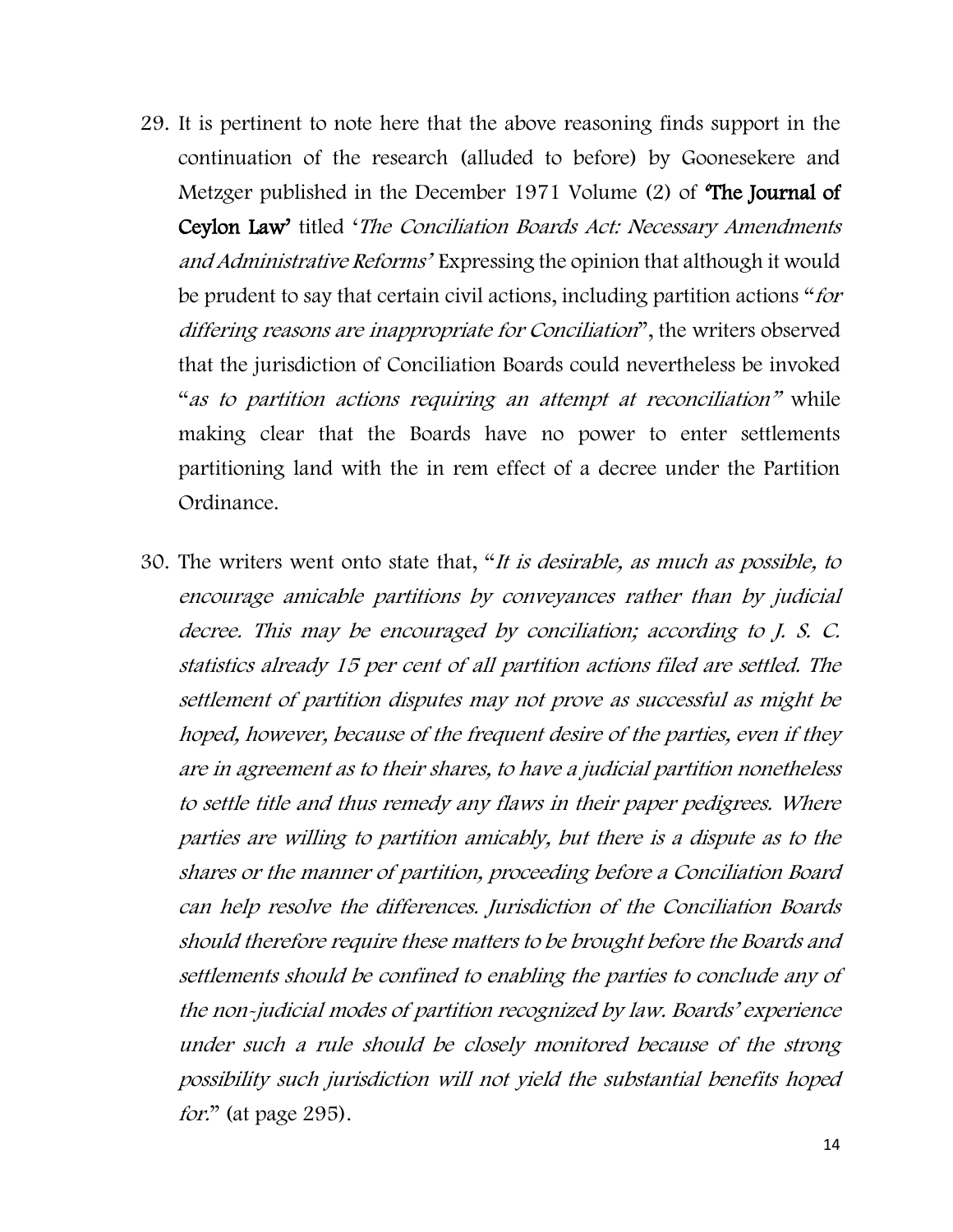- 29. It is pertinent to note here that the above reasoning finds support in the continuation of the research (alluded to before) by Goonesekere and Metzger published in the December 1971 Volume (2) of The Journal of Ceylon Law' titled 'The Conciliation Boards Act: Necessary Amendments and Administrative Reforms' Expressing the opinion that although it would be prudent to say that certain civil actions, including partition actions "for differing reasons are inappropriate for Conciliation", the writers observed that the jurisdiction of Conciliation Boards could nevertheless be invoked "as to partition actions requiring an attempt at reconciliation" while making clear that the Boards have no power to enter settlements partitioning land with the in rem effect of a decree under the Partition Ordinance.
- 30. The writers went onto state that, "It is desirable, as much as possible, to encourage amicable partitions by conveyances rather than by judicial decree. This may be encouraged by conciliation; according to J. S. C. statistics already 15 per cent of all partition actions filed are settled. The settlement of partition disputes may not prove as successful as might be hoped, however, because of the frequent desire of the parties, even if they are in agreement as to their shares, to have a judicial partition nonetheless to settle title and thus remedy any flaws in their paper pedigrees. Where parties are willing to partition amicably, but there is a dispute as to the shares or the manner of partition, proceeding before a Conciliation Board can help resolve the differences. Jurisdiction of the Conciliation Boards should therefore require these matters to be brought before the Boards and settlements should be confined to enabling the parties to conclude any of the non-judicial modes of partition recognized by law. Boards' experience under such a rule should be closely monitored because of the strong possibility such jurisdiction will not yield the substantial benefits hoped for." (at page 295).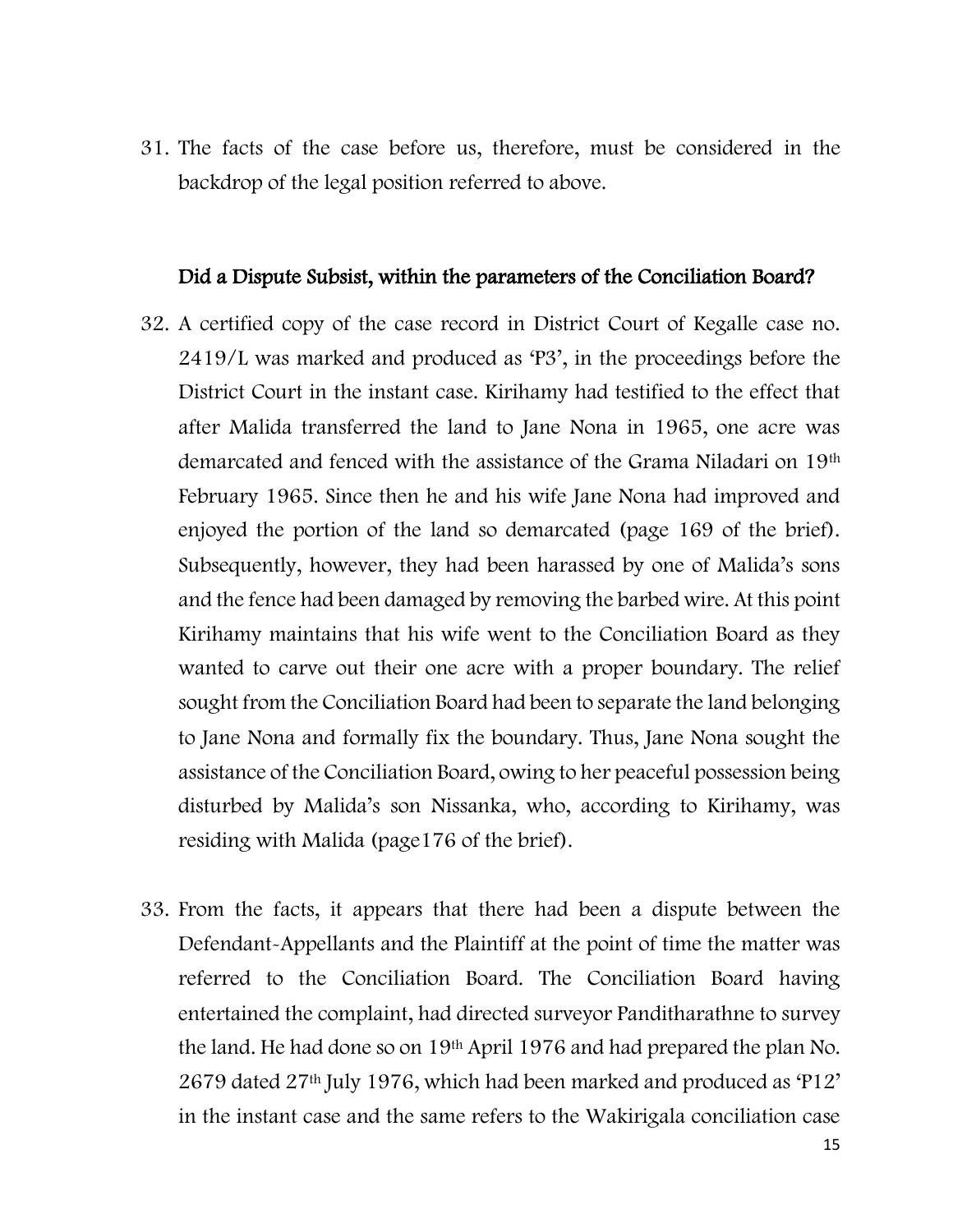31. The facts of the case before us, therefore, must be considered in the backdrop of the legal position referred to above.

#### Did a Dispute Subsist, within the parameters of the Conciliation Board?

- 32. A certified copy of the case record in District Court of Kegalle case no. 2419/L was marked and produced as 'P3', in the proceedings before the District Court in the instant case. Kirihamy had testified to the effect that after Malida transferred the land to Jane Nona in 1965, one acre was demarcated and fenced with the assistance of the Grama Niladari on 19th February 1965. Since then he and his wife Jane Nona had improved and enjoyed the portion of the land so demarcated (page 169 of the brief). Subsequently, however, they had been harassed by one of Malida's sons and the fence had been damaged by removing the barbed wire. At this point Kirihamy maintains that his wife went to the Conciliation Board as they wanted to carve out their one acre with a proper boundary. The relief sought from the Conciliation Board had been to separate the land belonging to Jane Nona and formally fix the boundary. Thus, Jane Nona sought the assistance of the Conciliation Board, owing to her peaceful possession being disturbed by Malida's son Nissanka, who, according to Kirihamy, was residing with Malida (page176 of the brief).
- 33. From the facts, it appears that there had been a dispute between the Defendant-Appellants and the Plaintiff at the point of time the matter was referred to the Conciliation Board. The Conciliation Board having entertained the complaint, had directed surveyor Panditharathne to survey the land. He had done so on 19th April 1976 and had prepared the plan No. 2679 dated 27th July 1976, which had been marked and produced as 'P12' in the instant case and the same refers to the Wakirigala conciliation case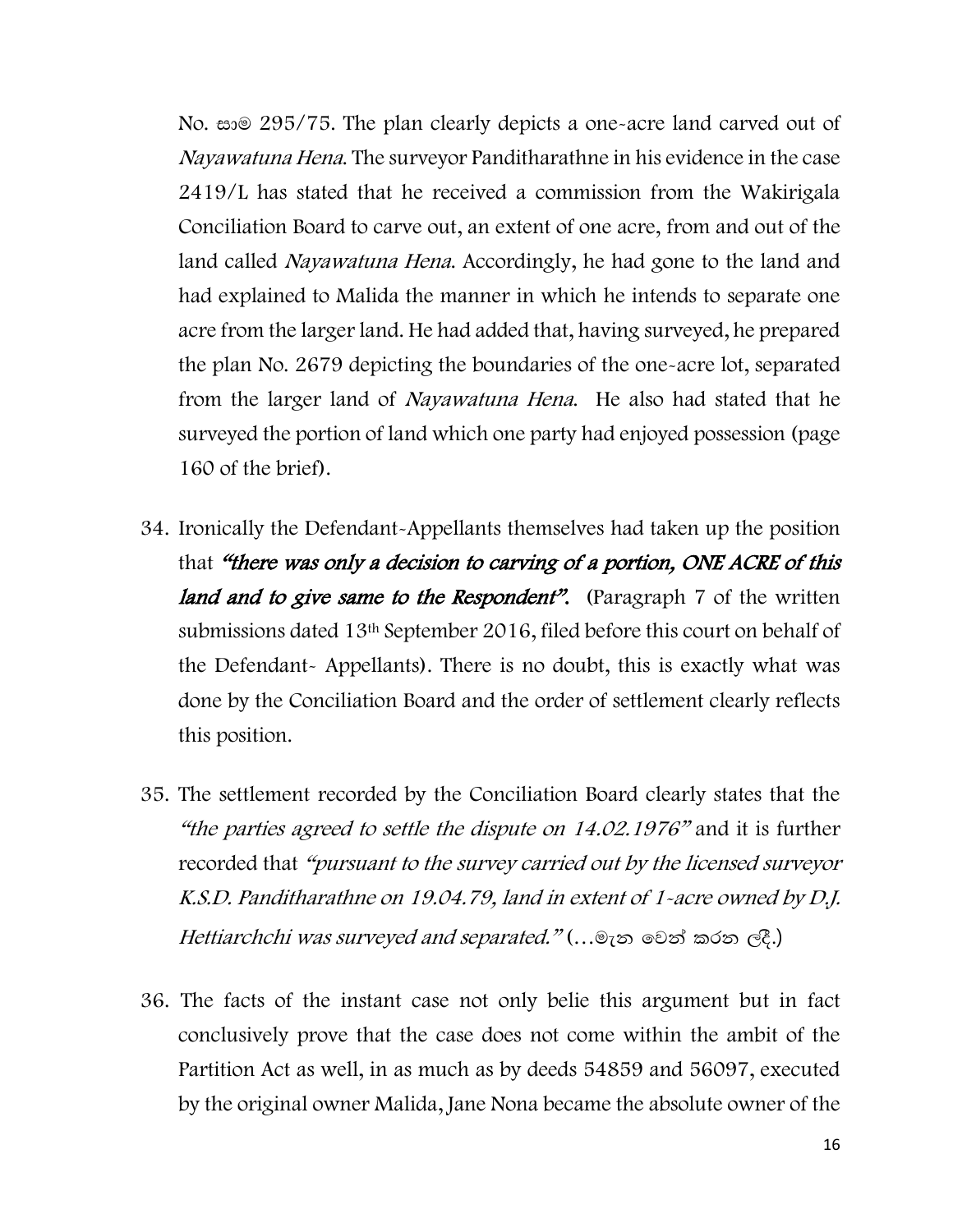No.  $\approx 295/75$ . The plan clearly depicts a one-acre land carved out of Nayawatuna Hena. The surveyor Panditharathne in his evidence in the case 2419/L has stated that he received a commission from the Wakirigala Conciliation Board to carve out, an extent of one acre, from and out of the land called Nayawatuna Hena. Accordingly, he had gone to the land and had explained to Malida the manner in which he intends to separate one acre from the larger land. He had added that, having surveyed, he prepared the plan No. 2679 depicting the boundaries of the one-acre lot, separated from the larger land of Nayawatuna Hena. He also had stated that he surveyed the portion of land which one party had enjoyed possession (page 160 of the brief).

- 34. Ironically the Defendant-Appellants themselves had taken up the position that "there was only a decision to carving of a portion, ONE ACRE of this land and to give same to the Respondent". (Paragraph 7 of the written submissions dated 13th September 2016, filed before this court on behalf of the Defendant- Appellants). There is no doubt, this is exactly what was done by the Conciliation Board and the order of settlement clearly reflects this position.
- 35. The settlement recorded by the Conciliation Board clearly states that the "the parties agreed to settle the dispute on 14.02.1976" and it is further recorded that "pursuant to the survey carried out by the licensed surveyor K.S.D. Panditharathne on 19.04.79, land in extent of 1-acre owned by D.J. Hettiarchchi was surveyed and separated." (...@100 @ @ \$) කරන ලදී.)
- 36. The facts of the instant case not only belie this argument but in fact conclusively prove that the case does not come within the ambit of the Partition Act as well, in as much as by deeds 54859 and 56097, executed by the original owner Malida, Jane Nona became the absolute owner of the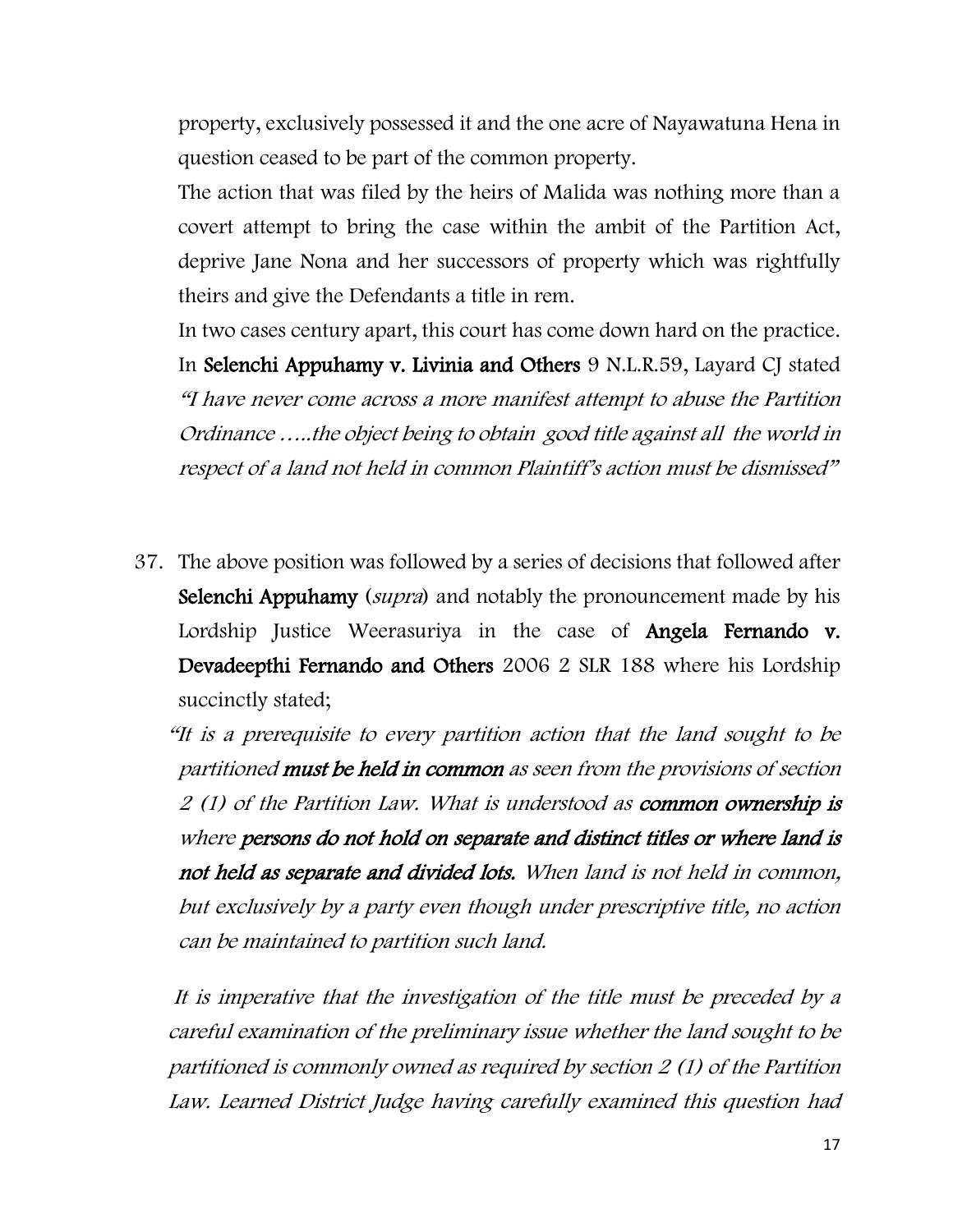property, exclusively possessed it and the one acre of Nayawatuna Hena in question ceased to be part of the common property.

The action that was filed by the heirs of Malida was nothing more than a covert attempt to bring the case within the ambit of the Partition Act, deprive Jane Nona and her successors of property which was rightfully theirs and give the Defendants a title in rem.

In two cases century apart, this court has come down hard on the practice. In Selenchi Appuhamy v. Livinia and Others 9 N.L.R.59, Layard CJ stated "I have never come across a more manifest attempt to abuse the Partition Ordinance …..the object being to obtain good title against all the world in respect of a land not held in common Plaintiff's action must be dismissed"

37. The above position was followed by a series of decisions that followed after Selenchi Appuhamy (*supra*) and notably the pronouncement made by his Lordship Justice Weerasuriya in the case of **Angela Fernando v.** Devadeepthi Fernando and Others 2006 2 SLR 188 where his Lordship succinctly stated;

"It is a prerequisite to every partition action that the land sought to be partitioned must be held in common as seen from the provisions of section 2 (1) of the Partition Law. What is understood as common ownership is where persons do not hold on separate and distinct titles or where land is not held as separate and divided lots. When land is not held in common, but exclusively by a party even though under prescriptive title, no action can be maintained to partition such land.

It is imperative that the investigation of the title must be preceded by a careful examination of the preliminary issue whether the land sought to be partitioned is commonly owned as required by section 2 (1) of the Partition Law. Learned District Judge having carefully examined this question had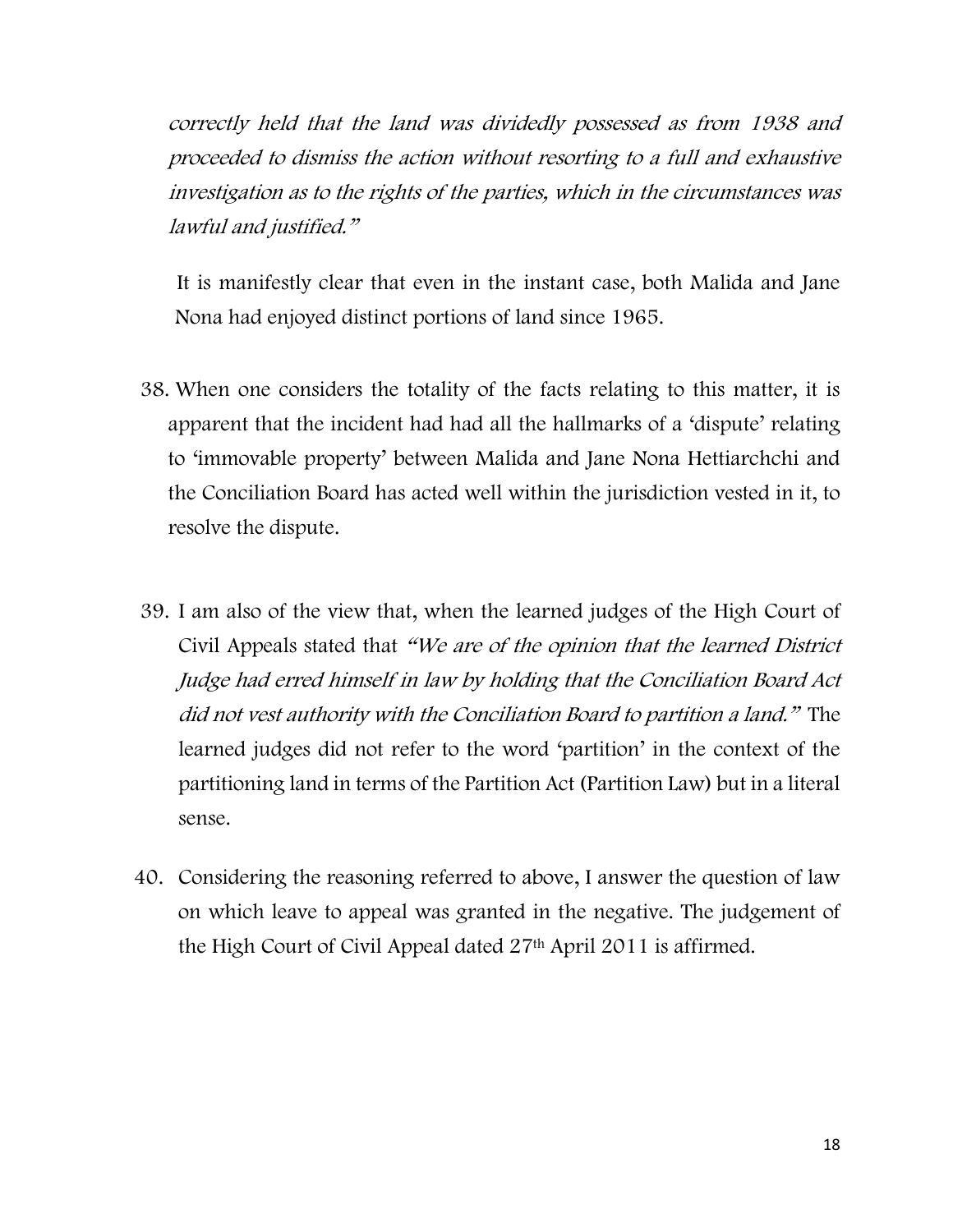correctly held that the land was dividedly possessed as from 1938 and proceeded to dismiss the action without resorting to a full and exhaustive investigation as to the rights of the parties, which in the circumstances was lawful and justified."

 It is manifestly clear that even in the instant case, both Malida and Jane Nona had enjoyed distinct portions of land since 1965.

- 38. When one considers the totality of the facts relating to this matter, it is apparent that the incident had had all the hallmarks of a 'dispute' relating to 'immovable property' between Malida and Jane Nona Hettiarchchi and the Conciliation Board has acted well within the jurisdiction vested in it, to resolve the dispute.
- 39. I am also of the view that, when the learned judges of the High Court of Civil Appeals stated that "We are of the opinion that the learned District Judge had erred himself in law by holding that the Conciliation Board Act did not vest authority with the Conciliation Board to partition a land." The learned judges did not refer to the word 'partition' in the context of the partitioning land in terms of the Partition Act (Partition Law) but in a literal sense.
- 40. Considering the reasoning referred to above, I answer the question of law on which leave to appeal was granted in the negative. The judgement of the High Court of Civil Appeal dated 27th April 2011 is affirmed.